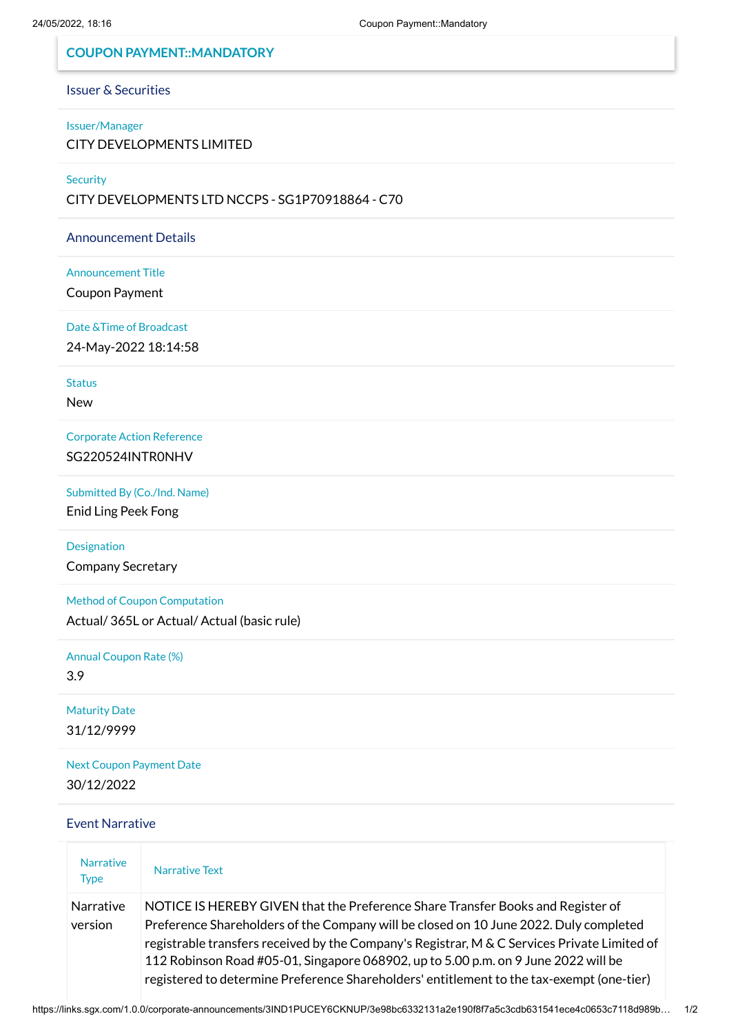# **COUPON PAYMENT::MANDATORY**

### Issuer & Securities

# Issuer/Manager

CITY DEVELOPMENTS LIMITED

**Security** 

CITY DEVELOPMENTS LTD NCCPS - SG1P70918864 - C70

Announcement Details

### Announcement Title

Coupon Payment

### Date &Time of Broadcast

24-May-2022 18:14:58

**Status** 

New

Corporate Action Reference SG220524INTR0NHV

Submitted By (Co./Ind. Name)

Enid Ling Peek Fong

Designation Company Secretary

Method of Coupon Computation

Actual/ 365L or Actual/ Actual (basic rule)

Annual Coupon Rate (%) 3.9

Maturity Date 31/12/9999

Next Coupon Payment Date 30/12/2022

#### Event Narrative

| <b>Narrative</b><br><b>Type</b> | Narrative Text                                                                                                                                                                                                                                                                                                                                                                                                                                              |
|---------------------------------|-------------------------------------------------------------------------------------------------------------------------------------------------------------------------------------------------------------------------------------------------------------------------------------------------------------------------------------------------------------------------------------------------------------------------------------------------------------|
| Narrative<br>version            | NOTICE IS HEREBY GIVEN that the Preference Share Transfer Books and Register of<br>Preference Shareholders of the Company will be closed on 10 June 2022. Duly completed<br>registrable transfers received by the Company's Registrar, M & C Services Private Limited of<br>112 Robinson Road #05-01, Singapore 068902, up to 5.00 p.m. on 9 June 2022 will be<br>registered to determine Preference Shareholders' entitlement to the tax-exempt (one-tier) |